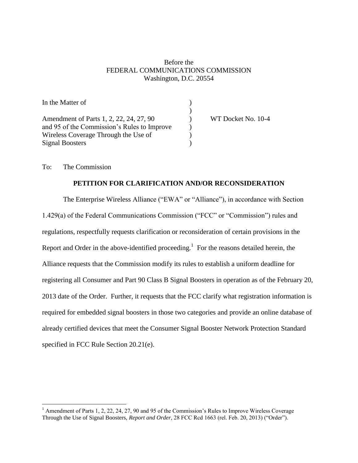## Before the FEDERAL COMMUNICATIONS COMMISSION Washington, D.C. 20554

| In the Matter of                            |                    |
|---------------------------------------------|--------------------|
|                                             |                    |
| Amendment of Parts 1, 2, 22, 24, 27, 90     | WT Docket No. 10-4 |
| and 95 of the Commission's Rules to Improve |                    |
| Wireless Coverage Through the Use of        |                    |
| <b>Signal Boosters</b>                      |                    |

To: The Commission

 $\overline{a}$ 

#### **PETITION FOR CLARIFICATION AND/OR RECONSIDERATION**

The Enterprise Wireless Alliance ("EWA" or "Alliance"), in accordance with Section 1.429(a) of the Federal Communications Commission ("FCC" or "Commission") rules and regulations, respectfully requests clarification or reconsideration of certain provisions in the Report and Order in the above-identified proceeding.<sup>1</sup> For the reasons detailed herein, the Alliance requests that the Commission modify its rules to establish a uniform deadline for registering all Consumer and Part 90 Class B Signal Boosters in operation as of the February 20, 2013 date of the Order. Further, it requests that the FCC clarify what registration information is required for embedded signal boosters in those two categories and provide an online database of already certified devices that meet the Consumer Signal Booster Network Protection Standard specified in FCC Rule Section 20.21(e).

<sup>&</sup>lt;sup>1</sup> Amendment of Parts 1, 2, 22, 24, 27, 90 and 95 of the Commission's Rules to Improve Wireless Coverage Through the Use of Signal Boosters, *Report and Order*, 28 FCC Rcd 1663 (rel. Feb. 20, 2013) ("Order").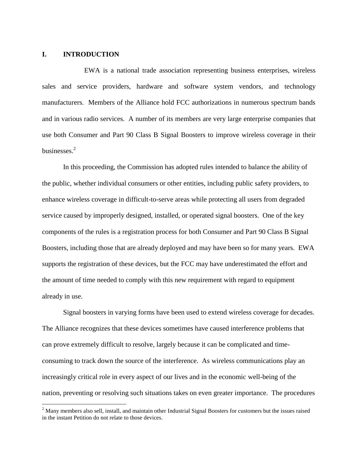#### **I. INTRODUCTION**

 $\overline{a}$ 

EWA is a national trade association representing business enterprises, wireless sales and service providers, hardware and software system vendors, and technology manufacturers. Members of the Alliance hold FCC authorizations in numerous spectrum bands and in various radio services. A number of its members are very large enterprise companies that use both Consumer and Part 90 Class B Signal Boosters to improve wireless coverage in their businesses.<sup>2</sup>

In this proceeding, the Commission has adopted rules intended to balance the ability of the public, whether individual consumers or other entities, including public safety providers, to enhance wireless coverage in difficult-to-serve areas while protecting all users from degraded service caused by improperly designed, installed, or operated signal boosters. One of the key components of the rules is a registration process for both Consumer and Part 90 Class B Signal Boosters, including those that are already deployed and may have been so for many years. EWA supports the registration of these devices, but the FCC may have underestimated the effort and the amount of time needed to comply with this new requirement with regard to equipment already in use.

Signal boosters in varying forms have been used to extend wireless coverage for decades. The Alliance recognizes that these devices sometimes have caused interference problems that can prove extremely difficult to resolve, largely because it can be complicated and timeconsuming to track down the source of the interference. As wireless communications play an increasingly critical role in every aspect of our lives and in the economic well-being of the nation, preventing or resolving such situations takes on even greater importance. The procedures

 $2$  Many members also sell, install, and maintain other Industrial Signal Boosters for customers but the issues raised in the instant Petition do not relate to those devices.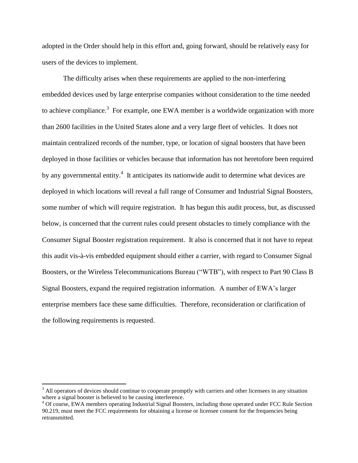adopted in the Order should help in this effort and, going forward, should be relatively easy for users of the devices to implement.

The difficulty arises when these requirements are applied to the non-interfering embedded devices used by large enterprise companies without consideration to the time needed to achieve compliance.<sup>3</sup> For example, one EWA member is a worldwide organization with more than 2600 facilities in the United States alone and a very large fleet of vehicles. It does not maintain centralized records of the number, type, or location of signal boosters that have been deployed in those facilities or vehicles because that information has not heretofore been required by any governmental entity.<sup>4</sup> It anticipates its nationwide audit to determine what devices are deployed in which locations will reveal a full range of Consumer and Industrial Signal Boosters, some number of which will require registration. It has begun this audit process, but, as discussed below, is concerned that the current rules could present obstacles to timely compliance with the Consumer Signal Booster registration requirement. It also is concerned that it not have to repeat this audit vis-à-vis embedded equipment should either a carrier, with regard to Consumer Signal Boosters, or the Wireless Telecommunications Bureau ("WTB"), with respect to Part 90 Class B Signal Boosters, expand the required registration information. A number of EWA's larger enterprise members face these same difficulties. Therefore, reconsideration or clarification of the following requirements is requested.

<sup>&</sup>lt;sup>3</sup> All operators of devices should continue to cooperate promptly with carriers and other licensees in any situation where a signal booster is believed to be causing interference.

<sup>&</sup>lt;sup>4</sup> Of course, EWA members operating Industrial Signal Boosters, including those operated under FCC Rule Section 90.219, must meet the FCC requirements for obtaining a license or licensee consent for the frequencies being retransmitted.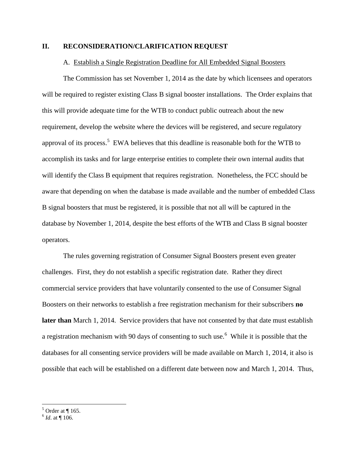### **II. RECONSIDERATION/CLARIFICATION REQUEST**

#### A. Establish a Single Registration Deadline for All Embedded Signal Boosters

The Commission has set November 1, 2014 as the date by which licensees and operators will be required to register existing Class B signal booster installations. The Order explains that this will provide adequate time for the WTB to conduct public outreach about the new requirement, develop the website where the devices will be registered, and secure regulatory approval of its process.<sup>5</sup> EWA believes that this deadline is reasonable both for the WTB to accomplish its tasks and for large enterprise entities to complete their own internal audits that will identify the Class B equipment that requires registration. Nonetheless, the FCC should be aware that depending on when the database is made available and the number of embedded Class B signal boosters that must be registered, it is possible that not all will be captured in the database by November 1, 2014, despite the best efforts of the WTB and Class B signal booster operators.

The rules governing registration of Consumer Signal Boosters present even greater challenges. First, they do not establish a specific registration date. Rather they direct commercial service providers that have voluntarily consented to the use of Consumer Signal Boosters on their networks to establish a free registration mechanism for their subscribers **no later than** March 1, 2014. Service providers that have not consented by that date must establish a registration mechanism with 90 days of consenting to such use.<sup>6</sup> While it is possible that the databases for all consenting service providers will be made available on March 1, 2014, it also is possible that each will be established on a different date between now and March 1, 2014. Thus,

 $<sup>5</sup>$  Order at ¶ 165.</sup>

 $^{6}$  *Id.* at  $\P$  106.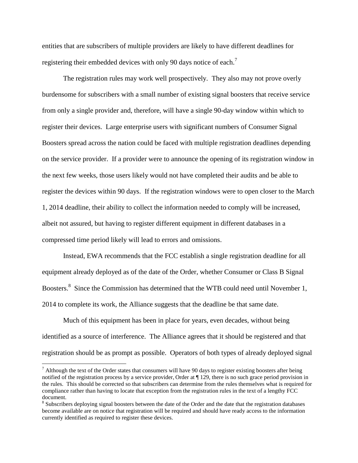entities that are subscribers of multiple providers are likely to have different deadlines for registering their embedded devices with only 90 days notice of each.<sup>7</sup>

The registration rules may work well prospectively. They also may not prove overly burdensome for subscribers with a small number of existing signal boosters that receive service from only a single provider and, therefore, will have a single 90-day window within which to register their devices. Large enterprise users with significant numbers of Consumer Signal Boosters spread across the nation could be faced with multiple registration deadlines depending on the service provider. If a provider were to announce the opening of its registration window in the next few weeks, those users likely would not have completed their audits and be able to register the devices within 90 days. If the registration windows were to open closer to the March 1, 2014 deadline, their ability to collect the information needed to comply will be increased, albeit not assured, but having to register different equipment in different databases in a compressed time period likely will lead to errors and omissions.

Instead, EWA recommends that the FCC establish a single registration deadline for all equipment already deployed as of the date of the Order, whether Consumer or Class B Signal Boosters.<sup>8</sup> Since the Commission has determined that the WTB could need until November 1, 2014 to complete its work, the Alliance suggests that the deadline be that same date.

Much of this equipment has been in place for years, even decades, without being identified as a source of interference. The Alliance agrees that it should be registered and that registration should be as prompt as possible. Operators of both types of already deployed signal

 $^7$  Although the text of the Order states that consumers will have 90 days to register existing boosters after being notified of the registration process by a service provider, Order at ¶ 129, there is no such grace period provision in the rules. This should be corrected so that subscribers can determine from the rules themselves what is required for compliance rather than having to locate that exception from the registration rules in the text of a lengthy FCC document.

<sup>&</sup>lt;sup>8</sup> Subscribers deploying signal boosters between the date of the Order and the date that the registration databases become available are on notice that registration will be required and should have ready access to the information currently identified as required to register these devices.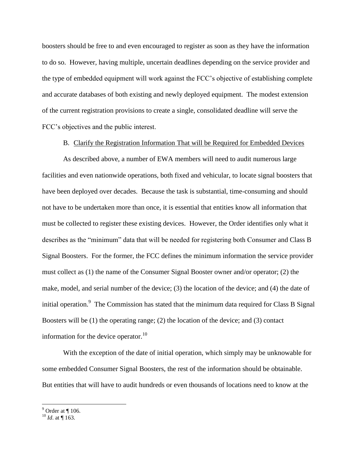boosters should be free to and even encouraged to register as soon as they have the information to do so. However, having multiple, uncertain deadlines depending on the service provider and the type of embedded equipment will work against the FCC's objective of establishing complete and accurate databases of both existing and newly deployed equipment. The modest extension of the current registration provisions to create a single, consolidated deadline will serve the FCC's objectives and the public interest.

B. Clarify the Registration Information That will be Required for Embedded Devices

As described above, a number of EWA members will need to audit numerous large facilities and even nationwide operations, both fixed and vehicular, to locate signal boosters that have been deployed over decades. Because the task is substantial, time-consuming and should not have to be undertaken more than once, it is essential that entities know all information that must be collected to register these existing devices. However, the Order identifies only what it describes as the "minimum" data that will be needed for registering both Consumer and Class B Signal Boosters. For the former, the FCC defines the minimum information the service provider must collect as (1) the name of the Consumer Signal Booster owner and/or operator; (2) the make, model, and serial number of the device; (3) the location of the device; and (4) the date of initial operation.<sup>9</sup> The Commission has stated that the minimum data required for Class B Signal Boosters will be (1) the operating range; (2) the location of the device; and (3) contact information for the device operator.<sup>10</sup>

With the exception of the date of initial operation, which simply may be unknowable for some embedded Consumer Signal Boosters, the rest of the information should be obtainable. But entities that will have to audit hundreds or even thousands of locations need to know at the

 $9^9$  Order at ¶ 106.

 $^{10}$  *Id.* at ¶ 163.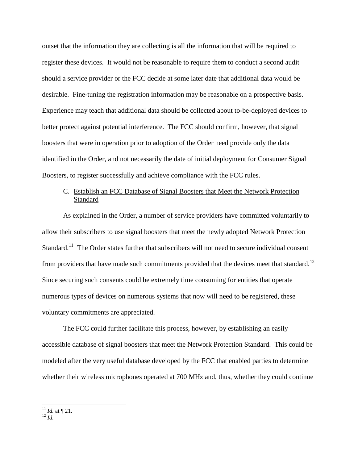outset that the information they are collecting is all the information that will be required to register these devices. It would not be reasonable to require them to conduct a second audit should a service provider or the FCC decide at some later date that additional data would be desirable. Fine-tuning the registration information may be reasonable on a prospective basis. Experience may teach that additional data should be collected about to-be-deployed devices to better protect against potential interference. The FCC should confirm, however, that signal boosters that were in operation prior to adoption of the Order need provide only the data identified in the Order, and not necessarily the date of initial deployment for Consumer Signal Boosters, to register successfully and achieve compliance with the FCC rules.

# C. Establish an FCC Database of Signal Boosters that Meet the Network Protection **Standard**

As explained in the Order, a number of service providers have committed voluntarily to allow their subscribers to use signal boosters that meet the newly adopted Network Protection Standard.<sup>11</sup> The Order states further that subscribers will not need to secure individual consent from providers that have made such commitments provided that the devices meet that standard.<sup>12</sup> Since securing such consents could be extremely time consuming for entities that operate numerous types of devices on numerous systems that now will need to be registered, these voluntary commitments are appreciated.

The FCC could further facilitate this process, however, by establishing an easily accessible database of signal boosters that meet the Network Protection Standard. This could be modeled after the very useful database developed by the FCC that enabled parties to determine whether their wireless microphones operated at 700 MHz and, thus, whether they could continue

 $11$  *Id.* at  $\P$  21.

<sup>12</sup> *Id.*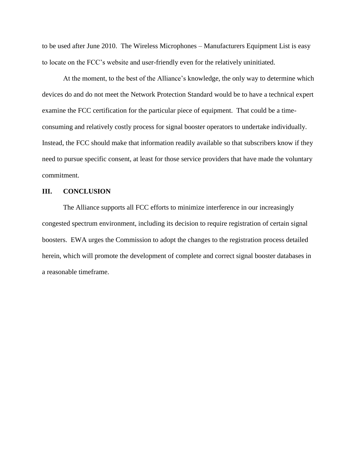to be used after June 2010. The Wireless Microphones – Manufacturers Equipment List is easy to locate on the FCC's website and user-friendly even for the relatively uninitiated.

At the moment, to the best of the Alliance's knowledge, the only way to determine which devices do and do not meet the Network Protection Standard would be to have a technical expert examine the FCC certification for the particular piece of equipment. That could be a timeconsuming and relatively costly process for signal booster operators to undertake individually. Instead, the FCC should make that information readily available so that subscribers know if they need to pursue specific consent, at least for those service providers that have made the voluntary commitment.

#### **III. CONCLUSION**

The Alliance supports all FCC efforts to minimize interference in our increasingly congested spectrum environment, including its decision to require registration of certain signal boosters. EWA urges the Commission to adopt the changes to the registration process detailed herein, which will promote the development of complete and correct signal booster databases in a reasonable timeframe.